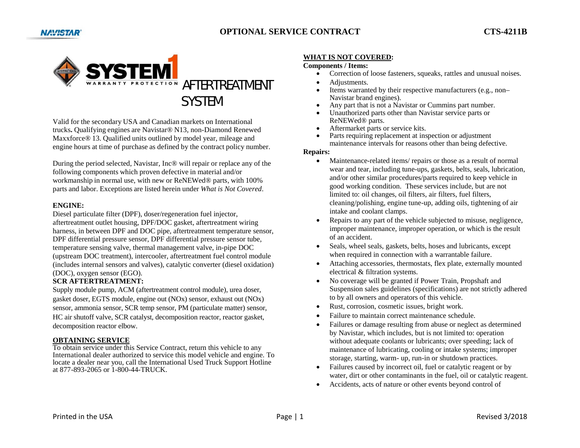

Valid for the secondary USA and Canadian markets on International trucks**.** Qualifying engines are Navistar® N13, non-Diamond Renewed Maxxforce® 13. Qualified units outlined by model year, mileage and engine hours at time of purchase as defined by the contract policy number.

During the period selected, Navistar, Inc® will repair or replace any of the following components which proven defective in material and/or workmanship in normal use, with new or ReNEWed® parts, with 100% parts and labor. Exceptions are listed herein under *What is Not Covered*.

## **ENGINE:**

Diesel particulate filter (DPF), doser/regeneration fuel injector, aftertreatment outlet housing, DPF/DOC gasket, aftertreatment wiring harness, in between DPF and DOC pipe, aftertreatment temperature sensor, DPF differential pressure sensor, DPF differential pressure sensor tube, temperature sensing valve, thermal management valve, in-pipe DOC (upstream DOC treatment), intercooler, aftertreatment fuel control module (includes internal sensors and valves), catalytic converter (diesel oxidation) (DOC), oxygen sensor (EGO).

## **SCR AFTERTREATMENT:**

Supply module pump, ACM (aftertreatment control module), urea doser, gasket doser, EGTS module, engine out (NOx) sensor, exhaust out (NOx) sensor, ammonia sensor, SCR temp sensor, PM (particulate matter) sensor, HC air shutoff valve, SCR catalyst, decomposition reactor, reactor gasket, decomposition reactor elbow.

## **OBTAINING SERVICE**

 To obtain service under this Service Contract, return this vehicle to any International dealer authorized to service this model vehicle and engine. To locate a dealer near you, call the International Used Truck Support Hotline at 877-893-2065 or 1-800-44-TRUCK.

## **WHAT IS NOT COVERED:**

#### **Components / Items:**

- e Correction of loose fasteners, squeaks, rattles and unusual noises.
- 0 Adjustments.
- 0 Items warranted by their respective manufacturers (e.g., non– Navistar brand engines).
- 0 Any part that is not a Navistar or Cummins part number.
- 0 Unauthorized parts other than Navistar service parts or ReNEWed® parts.
- 0 Aftermarket parts or service kits.
- e Parts requiring replacement at inspection or adjustment maintenance intervals for reasons other than being defective.

### **Repairs:**

- e Maintenance-related items/ repairs or those as a result of normal wear and tear, including tune-ups, gaskets, belts, seals, lubrication, and/or other similar procedures/parts required to keep vehicle in good working condition. These services include, but are not limited to: oil changes, oil filters, air filters, fuel filters, cleaning/polishing, engine tune-up, adding oils, tightening of air intake and coolant clamps.
- 0 Repairs to any part of the vehicle subjected to misuse, negligence, improper maintenance, improper operation, or which is the result of an accident.
- 0 Seals, wheel seals, gaskets, belts, hoses and lubricants, except when required in connection with a warrantable failure.
- 0 Attaching accessories, thermostats, flex plate, externally mounted electrical & filtration systems.
- 0 No coverage will be granted if Power Train, Propshaft and Suspension sales guidelines (specifications) are not strictly adhered to by all owners and operators of this vehicle.
- 0 Rust, corrosion, cosmetic issues, bright work.
- 0 Failure to maintain correct maintenance schedule.
- e Failures or damage resulting from abuse or neglect as determined by Navistar, which includes, but is not limited to: operation without adequate coolants or lubricants; over speeding; lack of maintenance of lubricating, cooling or intake systems; improper storage, starting, warm- up, run-in or shutdown practices.
- e Failures caused by incorrect oil, fuel or catalytic reagent or by water, dirt or other contaminants in the fuel, oil or catalytic reagent.
- 0 Accidents, acts of nature or other events beyond control of